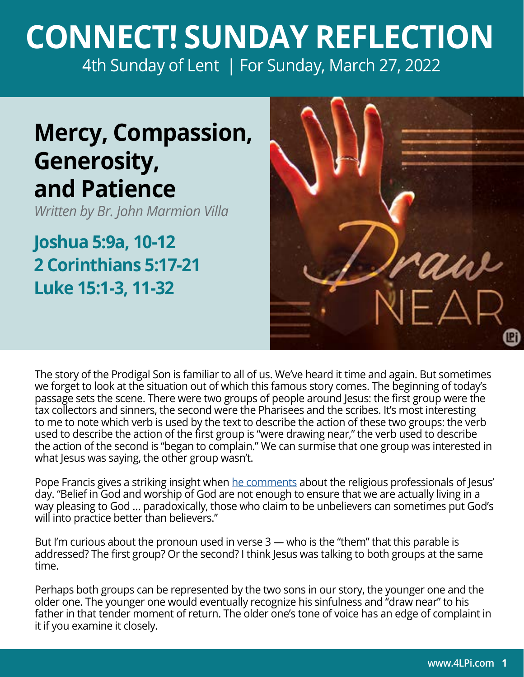## **CONNECT! SUNDAY REFLECTION** [4th Sunday of Lent | For Sunday, March 27, 2022](https://bible.usccb.org/bible/readings/032722-YearC.cfm)

## **Mercy, Compassion, Generosity, and Patience**

*Written by Br. John Marmion Villa*

**Joshua 5:9a, 10-12 2 Corinthians 5:17-21 Luke 15:1-3, 11-32**



The story of the Prodigal Son is familiar to all of us. We've heard it time and again. But sometimes we forget to look at the situation out of which this famous story comes. The beginning of today's passage sets the scene. There were two groups of people around Jesus: the first group were the tax collectors and sinners, the second were the Pharisees and the scribes. It's most interesting to me to note which verb is used by the text to describe the action of these two groups: the verb used to describe the action of the first group is "were drawing near," the verb used to describe the action of the second is "began to complain." We can surmise that one group was interested in what Jesus was saying, the other group wasn't.

Pope Francis gives a striking insight when [he comments](https://www.vatican.va/content/francesco/en/encyclicals/documents/papa-francesco_20201003_enciclica-fratelli-tutti.html) about the religious professionals of Jesus' day. "Belief in God and worship of God are not enough to ensure that we are actually living in a way pleasing to God … paradoxically, those who claim to be unbelievers can sometimes put God's will into practice better than believers."

But I'm curious about the pronoun used in verse 3 — who is the "them" that this parable is addressed? The first group? Or the second? I think Jesus was talking to both groups at the same time.

Perhaps both groups can be represented by the two sons in our story, the younger one and the older one. The younger one would eventually recognize his sinfulness and "draw near" to his father in that tender moment of return. The older one's tone of voice has an edge of complaint in it if you examine it closely.